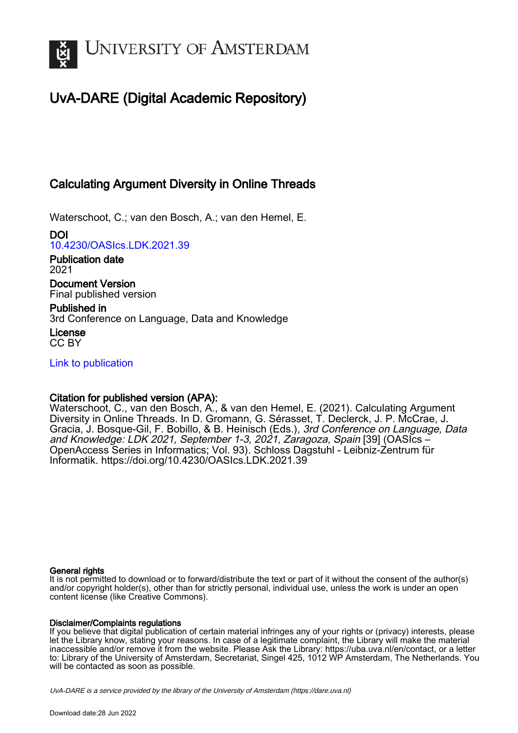

# UvA-DARE (Digital Academic Repository)

# Calculating Argument Diversity in Online Threads

Waterschoot, C.; van den Bosch, A.; van den Hemel, E.

DOI [10.4230/OASIcs.LDK.2021.39](https://doi.org/10.4230/OASIcs.LDK.2021.39)

Publication date 2021

Document Version Final published version

Published in 3rd Conference on Language, Data and Knowledge

License CC BY

[Link to publication](https://dare.uva.nl/personal/pure/en/publications/calculating-argument-diversity-in-online-threads(5501581c-fa11-4b3e-a8bc-29210599e310).html)

# Citation for published version (APA):

Waterschoot, C., van den Bosch, A., & van den Hemel, E. (2021). Calculating Argument Diversity in Online Threads. In D. Gromann, G. Sérasset, T. Declerck, J. P. McCrae, J. Gracia, J. Bosque-Gil, F. Bobillo, & B. Heinisch (Eds.), 3rd Conference on Language, Data and Knowledge: LDK 2021, September 1-3, 2021, Zaragoza, Spain [39] (OASIcs – OpenAccess Series in Informatics; Vol. 93). Schloss Dagstuhl - Leibniz-Zentrum für Informatik.<https://doi.org/10.4230/OASIcs.LDK.2021.39>

### General rights

It is not permitted to download or to forward/distribute the text or part of it without the consent of the author(s) and/or copyright holder(s), other than for strictly personal, individual use, unless the work is under an open content license (like Creative Commons).

### Disclaimer/Complaints regulations

If you believe that digital publication of certain material infringes any of your rights or (privacy) interests, please let the Library know, stating your reasons. In case of a legitimate complaint, the Library will make the material inaccessible and/or remove it from the website. Please Ask the Library: https://uba.uva.nl/en/contact, or a letter to: Library of the University of Amsterdam, Secretariat, Singel 425, 1012 WP Amsterdam, The Netherlands. You will be contacted as soon as possible.

UvA-DARE is a service provided by the library of the University of Amsterdam (http*s*://dare.uva.nl)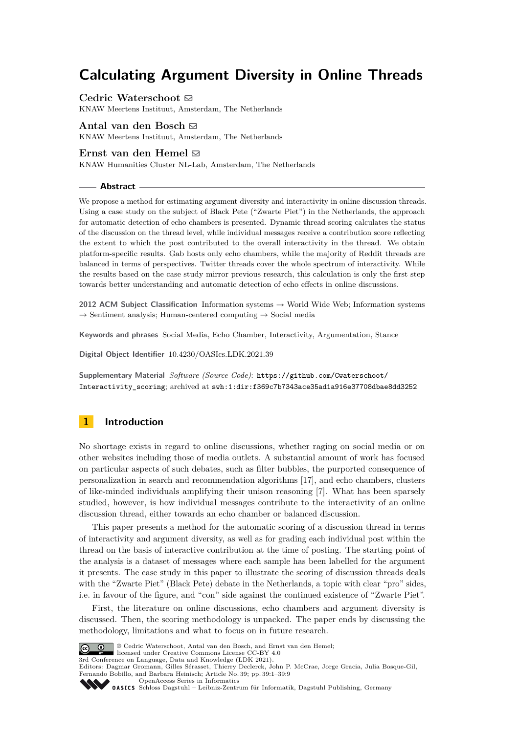# **Calculating Argument Diversity in Online Threads**

**Cedric Waterschoot**  $\boxtimes$ 

KNAW Meertens Instituut, Amsterdam, The Netherlands

**Antal van den Bosch** [#](mailto:antal.van.den.bosch@meertens.knaw.nl)

KNAW Meertens Instituut, Amsterdam, The Netherlands

### Ernst van den Hemel  $\boxdot$

KNAW Humanities Cluster NL-Lab, Amsterdam, The Netherlands

### **Abstract**

We propose a method for estimating argument diversity and interactivity in online discussion threads. Using a case study on the subject of Black Pete ("Zwarte Piet") in the Netherlands, the approach for automatic detection of echo chambers is presented. Dynamic thread scoring calculates the status of the discussion on the thread level, while individual messages receive a contribution score reflecting the extent to which the post contributed to the overall interactivity in the thread. We obtain platform-specific results. Gab hosts only echo chambers, while the majority of Reddit threads are balanced in terms of perspectives. Twitter threads cover the whole spectrum of interactivity. While the results based on the case study mirror previous research, this calculation is only the first step towards better understanding and automatic detection of echo effects in online discussions.

**2012 ACM Subject Classification** Information systems → World Wide Web; Information systems  $\rightarrow$  Sentiment analysis; Human-centered computing  $\rightarrow$  Social media

**Keywords and phrases** Social Media, Echo Chamber, Interactivity, Argumentation, Stance

**Digital Object Identifier** [10.4230/OASIcs.LDK.2021.39](https://doi.org/10.4230/OASIcs.LDK.2021.39)

**Supplementary Material** *Software (Source Code)*: [https://github.com/Cwaterschoot/](https://github.com/Cwaterschoot/Interactivity_scoring) [Interactivity\\_scoring](https://github.com/Cwaterschoot/Interactivity_scoring); archived at [swh:1:dir:f369c7b7343ace35ad1a916e37708dbae8dd3252](https://archive.softwareheritage.org/swh:1:dir:f369c7b7343ace35ad1a916e37708dbae8dd3252;origin=https://github.com/Cwaterschoot/Interactivity_scoring;visit=swh:1:snp:7e2fa642ed4c58c1dfcf57fa491c9fd9f9c6b728;anchor=swh:1:rev:f613f94f3e6c03b199fbd851fdbd198c8274e2d3)

# **1 Introduction**

No shortage exists in regard to online discussions, whether raging on social media or on other websites including those of media outlets. A substantial amount of work has focused on particular aspects of such debates, such as filter bubbles, the purported consequence of personalization in search and recommendation algorithms [\[17\]](#page-9-0), and echo chambers, clusters of like-minded individuals amplifying their unison reasoning [\[7\]](#page-8-0). What has been sparsely studied, however, is how individual messages contribute to the interactivity of an online discussion thread, either towards an echo chamber or balanced discussion.

This paper presents a method for the automatic scoring of a discussion thread in terms of interactivity and argument diversity, as well as for grading each individual post within the thread on the basis of interactive contribution at the time of posting. The starting point of the analysis is a dataset of messages where each sample has been labelled for the argument it presents. The case study in this paper to illustrate the scoring of discussion threads deals with the "Zwarte Piet" (Black Pete) debate in the Netherlands, a topic with clear "pro" sides, i.e. in favour of the figure, and "con" side against the continued existence of "Zwarte Piet".

First, the literature on online discussions, echo chambers and argument diversity is discussed. Then, the scoring methodology is unpacked. The paper ends by discussing the methodology, limitations and what to focus on in future research.



© Cedric Waterschoot, Antal van den Bosch, and Ernst van den Hemel;

licensed under Creative Commons License CC-BY 4.0

3rd Conference on Language, Data and Knowledge (LDK 2021).

Editors: Dagmar Gromann, Gilles Sérasset, Thierry Declerck, John P. McCrae, Jorge Gracia, Julia Bosque-Gil, Fernando Bobillo, and Barbara Heinisch; Article No. 39; pp. 39:1–39:9 [OpenAccess Series in Informatics](https://www.dagstuhl.de/oasics/)



0ASICS [Schloss Dagstuhl – Leibniz-Zentrum für Informatik, Dagstuhl Publishing, Germany](https://www.dagstuhl.de)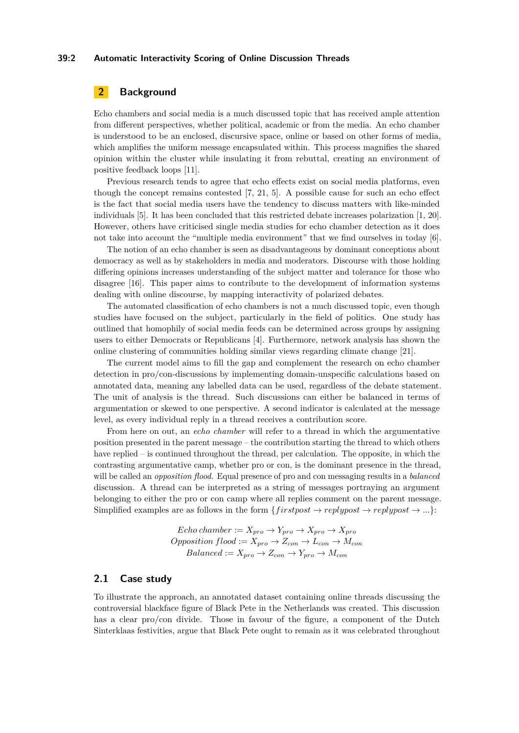### **39:2 Automatic Interactivity Scoring of Online Discussion Threads**

# **2 Background**

Echo chambers and social media is a much discussed topic that has received ample attention from different perspectives, whether political, academic or from the media. An echo chamber is understood to be an enclosed, discursive space, online or based on other forms of media, which amplifies the uniform message encapsulated within. This process magnifies the shared opinion within the cluster while insulating it from rebuttal, creating an environment of positive feedback loops [\[11\]](#page-8-1).

Previous research tends to agree that echo effects exist on social media platforms, even though the concept remains contested [\[7,](#page-8-0) [21,](#page-9-1) [5\]](#page-8-2). A possible cause for such an echo effect is the fact that social media users have the tendency to discuss matters with like-minded individuals [\[5\]](#page-8-2). It has been concluded that this restricted debate increases polarization [\[1,](#page-8-3) [20\]](#page-9-2). However, others have criticised single media studies for echo chamber detection as it does not take into account the "multiple media environment" that we find ourselves in today [\[6\]](#page-8-4).

The notion of an echo chamber is seen as disadvantageous by dominant conceptions about democracy as well as by stakeholders in media and moderators. Discourse with those holding differing opinions increases understanding of the subject matter and tolerance for those who disagree [\[16\]](#page-9-3). This paper aims to contribute to the development of information systems dealing with online discourse, by mapping interactivity of polarized debates.

The automated classification of echo chambers is not a much discussed topic, even though studies have focused on the subject, particularly in the field of politics. One study has outlined that homophily of social media feeds can be determined across groups by assigning users to either Democrats or Republicans [\[4\]](#page-8-5). Furthermore, network analysis has shown the online clustering of communities holding similar views regarding climate change [\[21\]](#page-9-1).

The current model aims to fill the gap and complement the research on echo chamber detection in pro/con-discussions by implementing domain-unspecific calculations based on annotated data, meaning any labelled data can be used, regardless of the debate statement. The unit of analysis is the thread. Such discussions can either be balanced in terms of argumentation or skewed to one perspective. A second indicator is calculated at the message level, as every individual reply in a thread receives a contribution score.

From here on out, an *echo chamber* will refer to a thread in which the argumentative position presented in the parent message – the contribution starting the thread to which others have replied – is continued throughout the thread, per calculation. The opposite, in which the contrasting argumentative camp, whether pro or con, is the dominant presence in the thread, will be called an *opposition flood*. Equal presence of pro and con messaging results in a *balanced* discussion. A thread can be interpreted as a string of messages portraying an argument belonging to either the pro or con camp where all replies comment on the parent message. Simplified examples are as follows in the form  $\{firstpost \rightarrow replypost \rightarrow replypost \rightarrow ... \}$ :

> $Echo\ chamber := X_{pro} \rightarrow Y_{pro} \rightarrow X_{pro} \rightarrow X_{pro}$  $Opposition$   $floor: X_{pro} \rightarrow Z_{con} \rightarrow L_{con} \rightarrow M_{con}$  $Balanced := X_{pro} \rightarrow Z_{con} \rightarrow Y_{pro} \rightarrow M_{con}$

### **2.1 Case study**

To illustrate the approach, an annotated dataset containing online threads discussing the controversial blackface figure of Black Pete in the Netherlands was created. This discussion has a clear pro/con divide. Those in favour of the figure, a component of the Dutch Sinterklaas festivities, argue that Black Pete ought to remain as it was celebrated throughout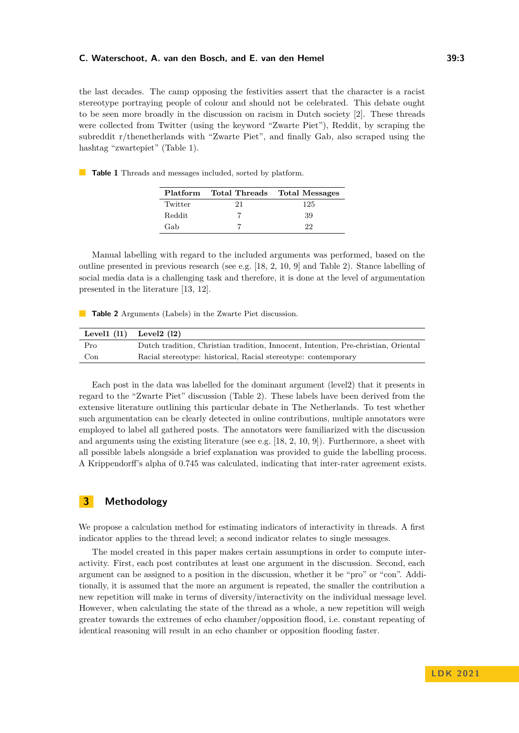the last decades. The camp opposing the festivities assert that the character is a racist stereotype portraying people of colour and should not be celebrated. This debate ought to be seen more broadly in the discussion on racism in Dutch society [\[2\]](#page-8-6). These threads were collected from Twitter (using the keyword "Zwarte Piet"), Reddit, by scraping the subreddit r/thenetherlands with "Zwarte Piet", and finally Gab, also scraped using the hashtag "zwartepiet" (Table [1\)](#page-3-0).

<span id="page-3-0"></span>**Table 1** Threads and messages included, sorted by platform.

| Platform |    | Total Threads Total Messages |
|----------|----|------------------------------|
| Twitter  | 21 | 125                          |
| Reddit   |    | 39                           |
| Gab      |    | 22                           |

Manual labelling with regard to the included arguments was performed, based on the outline presented in previous research (see e.g. [\[18,](#page-9-4) [2,](#page-8-6) [10,](#page-8-7) [9\]](#page-8-8) and Table [2\)](#page-3-1). Stance labelling of social media data is a challenging task and therefore, it is done at the level of argumentation presented in the literature [\[13,](#page-9-5) [12\]](#page-8-9).

<span id="page-3-1"></span>**Table 2** Arguments (Labels) in the Zwarte Piet discussion.

|     | Level $(11)$ Level $(12)$                                                          |
|-----|------------------------------------------------------------------------------------|
| Pro | Dutch tradition, Christian tradition, Innocent, Intention, Pre-christian, Oriental |
| Con | Racial stereotype: historical, Racial stereotype: contemporary                     |

Each post in the data was labelled for the dominant argument (level2) that it presents in regard to the "Zwarte Piet" discussion (Table [2\)](#page-3-1). These labels have been derived from the extensive literature outlining this particular debate in The Netherlands. To test whether such argumentation can be clearly detected in online contributions, multiple annotators were employed to label all gathered posts. The annotators were familiarized with the discussion and arguments using the existing literature (see e.g. [\[18,](#page-9-4) [2,](#page-8-6) [10,](#page-8-7) [9\]](#page-8-8)). Furthermore, a sheet with all possible labels alongside a brief explanation was provided to guide the labelling process. A Krippendorff's alpha of 0*.*745 was calculated, indicating that inter-rater agreement exists.

# **3 Methodology**

We propose a calculation method for estimating indicators of interactivity in threads. A first indicator applies to the thread level; a second indicator relates to single messages.

The model created in this paper makes certain assumptions in order to compute interactivity. First, each post contributes at least one argument in the discussion. Second, each argument can be assigned to a position in the discussion, whether it be "pro" or "con". Additionally, it is assumed that the more an argument is repeated, the smaller the contribution a new repetition will make in terms of diversity/interactivity on the individual message level. However, when calculating the state of the thread as a whole, a new repetition will weigh greater towards the extremes of echo chamber/opposition flood, i.e. constant repeating of identical reasoning will result in an echo chamber or opposition flooding faster.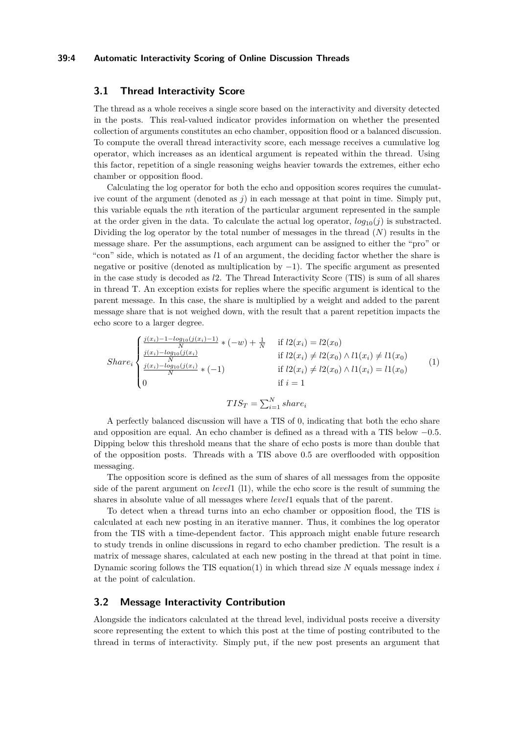### **39:4 Automatic Interactivity Scoring of Online Discussion Threads**

### **3.1 Thread Interactivity Score**

The thread as a whole receives a single score based on the interactivity and diversity detected in the posts. This real-valued indicator provides information on whether the presented collection of arguments constitutes an echo chamber, opposition flood or a balanced discussion. To compute the overall thread interactivity score, each message receives a cumulative log operator, which increases as an identical argument is repeated within the thread. Using this factor, repetition of a single reasoning weighs heavier towards the extremes, either echo chamber or opposition flood.

Calculating the log operator for both the echo and opposition scores requires the cumulative count of the argument (denoted as *j*) in each message at that point in time. Simply put, this variable equals the *n*th iteration of the particular argument represented in the sample at the order given in the data. To calculate the actual log operator,  $log_{10}(i)$  is substracted. Dividing the log operator by the total number of messages in the thread (*N*) results in the message share. Per the assumptions, each argument can be assigned to either the "pro" or "con" side, which is notated as *l*1 of an argument, the deciding factor whether the share is negative or positive (denoted as multiplication by −1). The specific argument as presented in the case study is decoded as *l*2. The Thread Interactivity Score (TIS) is sum of all shares in thread T. An exception exists for replies where the specific argument is identical to the parent message. In this case, the share is multiplied by a weight and added to the parent message share that is not weighed down, with the result that a parent repetition impacts the echo score to a larger degree.

<span id="page-4-0"></span>
$$
Share_{i} \begin{cases} \frac{j(x_{i})-1-log_{10}(j(x_{i})-1)}{N} * (-w) + \frac{1}{N} & \text{if } l2(x_{i}) = l2(x_{0})\\ \frac{j(x_{i})-log_{10}(j(x_{i})}{N} & \text{if } l2(x_{i}) \neq l2(x_{0}) \land l1(x_{i}) \neq l1(x_{0})\\ \frac{j(x_{i})-log_{10}(j(x_{i})}{N} * (-1) & \text{if } l2(x_{i}) \neq l2(x_{0}) \land l1(x_{i}) = l1(x_{0})\\ 0 & \text{if } i = 1 \end{cases} \tag{1}
$$
\n
$$
TIS_{T} = \sum_{i=1}^{N} share_{i}
$$

A perfectly balanced discussion will have a TIS of 0, indicating that both the echo share and opposition are equal. An echo chamber is defined as a thread with a TIS below −0*.*5. Dipping below this threshold means that the share of echo posts is more than double that of the opposition posts. Threads with a TIS above 0*.*5 are overflooded with opposition messaging.

The opposition score is defined as the sum of shares of all messages from the opposite side of the parent argument on *level*1 (l1), while the echo score is the result of summing the shares in absolute value of all messages where *level*1 equals that of the parent.

To detect when a thread turns into an echo chamber or opposition flood, the TIS is calculated at each new posting in an iterative manner. Thus, it combines the log operator from the TIS with a time-dependent factor. This approach might enable future research to study trends in online discussions in regard to echo chamber prediction. The result is a matrix of message shares, calculated at each new posting in the thread at that point in time. Dynamic scoring follows the TIS equation[\(1\)](#page-4-0) in which thread size *N* equals message index *i* at the point of calculation.

### <span id="page-4-1"></span>**3.2 Message Interactivity Contribution**

Alongside the indicators calculated at the thread level, individual posts receive a diversity score representing the extent to which this post at the time of posting contributed to the thread in terms of interactivity. Simply put, if the new post presents an argument that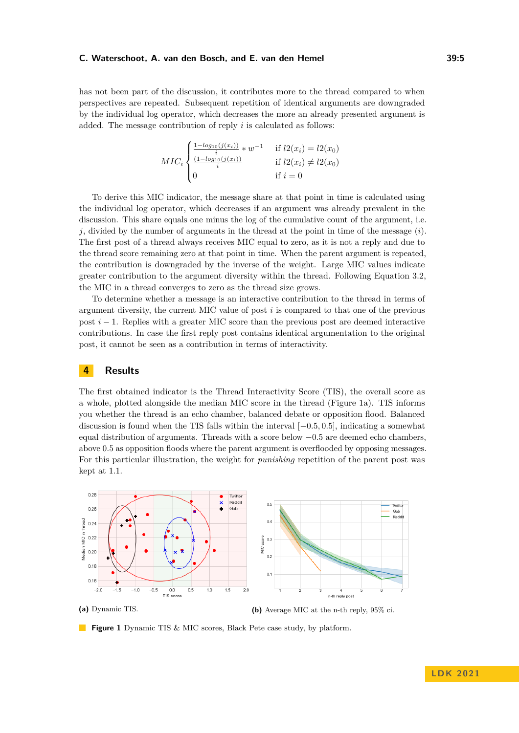has not been part of the discussion, it contributes more to the thread compared to when perspectives are repeated. Subsequent repetition of identical arguments are downgraded by the individual log operator, which decreases the more an already presented argument is added. The message contribution of reply *i* is calculated as follows:

$$
MIC_i \begin{cases} \frac{1 - \log_{10}(j(x_i))}{i} * w^{-1} & \text{if } l2(x_i) = l2(x_0) \\ \frac{(1 - \log_{10}(j(x_i))}{i}) & \text{if } l2(x_i) \neq l2(x_0) \\ 0 & \text{if } i = 0 \end{cases}
$$

To derive this MIC indicator, the message share at that point in time is calculated using the individual log operator, which decreases if an argument was already prevalent in the discussion. This share equals one minus the log of the cumulative count of the argument, i.e. *j*, divided by the number of arguments in the thread at the point in time of the message (*i*). The first post of a thread always receives MIC equal to zero, as it is not a reply and due to the thread score remaining zero at that point in time. When the parent argument is repeated, the contribution is downgraded by the inverse of the weight. Large MIC values indicate greater contribution to the argument diversity within the thread. Following Equation [3.2,](#page-4-1) the MIC in a thread converges to zero as the thread size grows.

To determine whether a message is an interactive contribution to the thread in terms of argument diversity, the current MIC value of post *i* is compared to that one of the previous post *i* − 1. Replies with a greater MIC score than the previous post are deemed interactive contributions. In case the first reply post contains identical argumentation to the original post, it cannot be seen as a contribution in terms of interactivity.

## **4 Results**

The first obtained indicator is the Thread Interactivity Score (TIS), the overall score as a whole, plotted alongside the median MIC score in the thread (Figure [1a\)](#page-5-0). TIS informs you whether the thread is an echo chamber, balanced debate or opposition flood. Balanced discussion is found when the TIS falls within the interval [−0*.*5*,* 0*.*5], indicating a somewhat equal distribution of arguments. Threads with a score below −0*.*5 are deemed echo chambers, above 0*.*5 as opposition floods where the parent argument is overflooded by opposing messages. For this particular illustration, the weight for *punishing* repetition of the parent post was kept at 1*.*1.

<span id="page-5-0"></span>

**Figure 1** Dynamic TIS & MIC scores, Black Pete case study, by platform.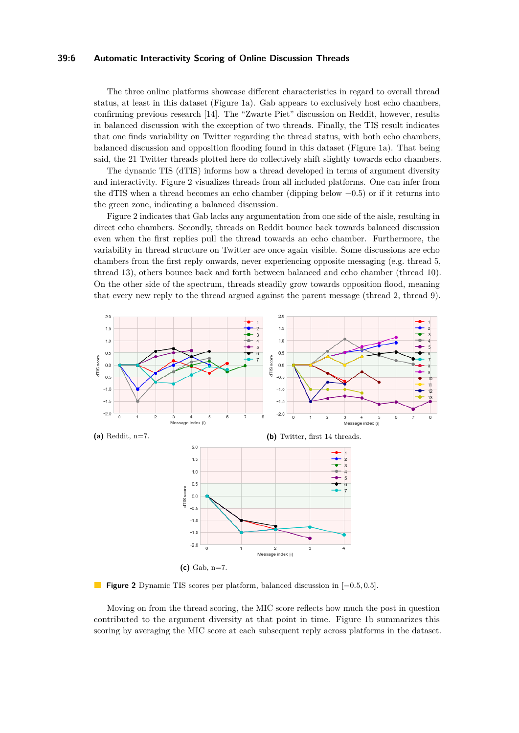### **39:6 Automatic Interactivity Scoring of Online Discussion Threads**

The three online platforms showcase different characteristics in regard to overall thread status, at least in this dataset (Figure [1a\)](#page-5-0). Gab appears to exclusively host echo chambers, confirming previous research [\[14\]](#page-9-6). The "Zwarte Piet" discussion on Reddit, however, results in balanced discussion with the exception of two threads. Finally, the TIS result indicates that one finds variability on Twitter regarding the thread status, with both echo chambers, balanced discussion and opposition flooding found in this dataset (Figure [1a\)](#page-5-0). That being said, the 21 Twitter threads plotted here do collectively shift slightly towards echo chambers.

The dynamic TIS (dTIS) informs how a thread developed in terms of argument diversity and interactivity. Figure [2](#page-6-0) visualizes threads from all included platforms. One can infer from the dTIS when a thread becomes an echo chamber (dipping below −0*.*5) or if it returns into the green zone, indicating a balanced discussion.

Figure [2](#page-6-0) indicates that Gab lacks any argumentation from one side of the aisle, resulting in direct echo chambers. Secondly, threads on Reddit bounce back towards balanced discussion even when the first replies pull the thread towards an echo chamber. Furthermore, the variability in thread structure on Twitter are once again visible. Some discussions are echo chambers from the first reply onwards, never experiencing opposite messaging (e.g. thread 5, thread 13), others bounce back and forth between balanced and echo chamber (thread 10). On the other side of the spectrum, threads steadily grow towards opposition flood, meaning that every new reply to the thread argued against the parent message (thread 2, thread 9).

<span id="page-6-0"></span>

**Figure 2** Dynamic TIS scores per platform, balanced discussion in [−0*.*5*,* 0*.*5].

Moving on from the thread scoring, the MIC score reflects how much the post in question contributed to the argument diversity at that point in time. Figure [1b](#page-5-0) summarizes this scoring by averaging the MIC score at each subsequent reply across platforms in the dataset.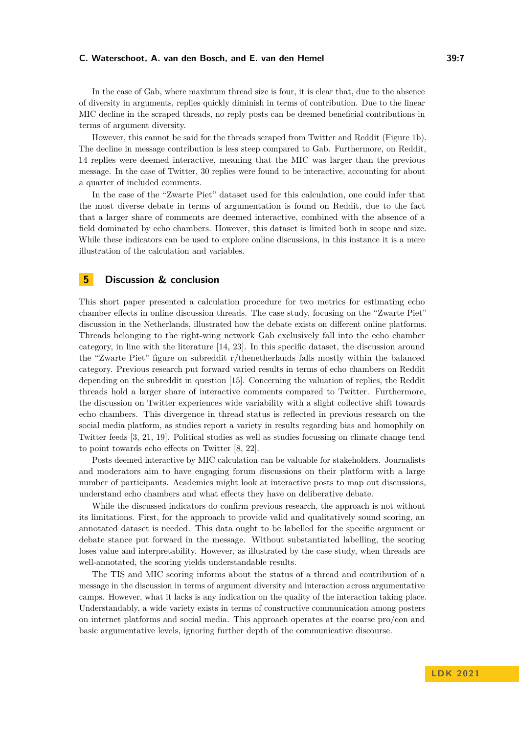In the case of Gab, where maximum thread size is four, it is clear that, due to the absence of diversity in arguments, replies quickly diminish in terms of contribution. Due to the linear MIC decline in the scraped threads, no reply posts can be deemed beneficial contributions in terms of argument diversity.

However, this cannot be said for the threads scraped from Twitter and Reddit (Figure [1b\)](#page-5-0). The decline in message contribution is less steep compared to Gab. Furthermore, on Reddit, 14 replies were deemed interactive, meaning that the MIC was larger than the previous message. In the case of Twitter, 30 replies were found to be interactive, accounting for about a quarter of included comments.

In the case of the "Zwarte Piet" dataset used for this calculation, one could infer that the most diverse debate in terms of argumentation is found on Reddit, due to the fact that a larger share of comments are deemed interactive, combined with the absence of a field dominated by echo chambers. However, this dataset is limited both in scope and size. While these indicators can be used to explore online discussions, in this instance it is a mere illustration of the calculation and variables.

## **5 Discussion & conclusion**

This short paper presented a calculation procedure for two metrics for estimating echo chamber effects in online discussion threads. The case study, focusing on the "Zwarte Piet" discussion in the Netherlands, illustrated how the debate exists on different online platforms. Threads belonging to the right-wing network Gab exclusively fall into the echo chamber category, in line with the literature [\[14,](#page-9-6) [23\]](#page-9-7). In this specific dataset, the discussion around the "Zwarte Piet" figure on subreddit r/thenetherlands falls mostly within the balanced category. Previous research put forward varied results in terms of echo chambers on Reddit depending on the subreddit in question [\[15\]](#page-9-8). Concerning the valuation of replies, the Reddit threads hold a larger share of interactive comments compared to Twitter. Furthermore, the discussion on Twitter experiences wide variability with a slight collective shift towards echo chambers. This divergence in thread status is reflected in previous research on the social media platform, as studies report a variety in results regarding bias and homophily on Twitter feeds [\[3,](#page-8-10) [21,](#page-9-1) [19\]](#page-9-9). Political studies as well as studies focussing on climate change tend to point towards echo effects on Twitter [\[8,](#page-8-11) [22\]](#page-9-10).

Posts deemed interactive by MIC calculation can be valuable for stakeholders. Journalists and moderators aim to have engaging forum discussions on their platform with a large number of participants. Academics might look at interactive posts to map out discussions, understand echo chambers and what effects they have on deliberative debate.

While the discussed indicators do confirm previous research, the approach is not without its limitations. First, for the approach to provide valid and qualitatively sound scoring, an annotated dataset is needed. This data ought to be labelled for the specific argument or debate stance put forward in the message. Without substantiated labelling, the scoring loses value and interpretability. However, as illustrated by the case study, when threads are well-annotated, the scoring yields understandable results.

The TIS and MIC scoring informs about the status of a thread and contribution of a message in the discussion in terms of argument diversity and interaction across argumentative camps. However, what it lacks is any indication on the quality of the interaction taking place. Understandably, a wide variety exists in terms of constructive communication among posters on internet platforms and social media. This approach operates at the coarse pro/con and basic argumentative levels, ignoring further depth of the communicative discourse.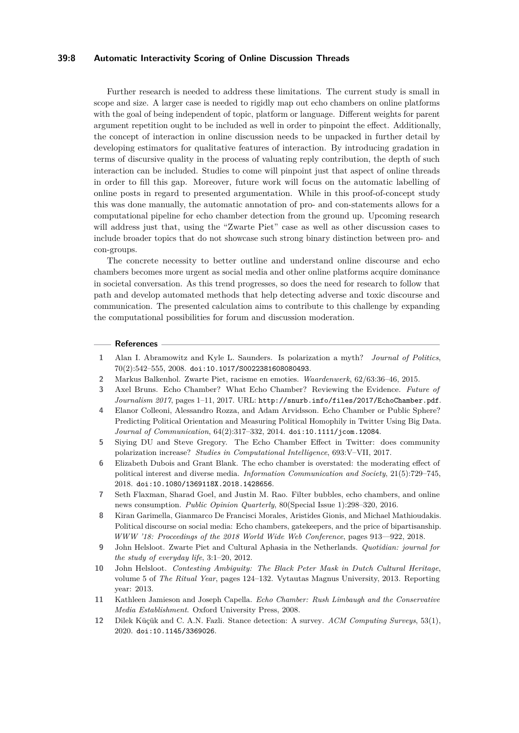### **39:8 Automatic Interactivity Scoring of Online Discussion Threads**

Further research is needed to address these limitations. The current study is small in scope and size. A larger case is needed to rigidly map out echo chambers on online platforms with the goal of being independent of topic, platform or language. Different weights for parent argument repetition ought to be included as well in order to pinpoint the effect. Additionally, the concept of interaction in online discussion needs to be unpacked in further detail by developing estimators for qualitative features of interaction. By introducing gradation in terms of discursive quality in the process of valuating reply contribution, the depth of such interaction can be included. Studies to come will pinpoint just that aspect of online threads in order to fill this gap. Moreover, future work will focus on the automatic labelling of online posts in regard to presented argumentation. While in this proof-of-concept study this was done manually, the automatic annotation of pro- and con-statements allows for a computational pipeline for echo chamber detection from the ground up. Upcoming research will address just that, using the "Zwarte Piet" case as well as other discussion cases to include broader topics that do not showcase such strong binary distinction between pro- and con-groups.

The concrete necessity to better outline and understand online discourse and echo chambers becomes more urgent as social media and other online platforms acquire dominance in societal conversation. As this trend progresses, so does the need for research to follow that path and develop automated methods that help detecting adverse and toxic discourse and communication. The presented calculation aims to contribute to this challenge by expanding the computational possibilities for forum and discussion moderation.

#### **References**

- <span id="page-8-3"></span>**1** Alan I. Abramowitz and Kyle L. Saunders. Is polarization a myth? *Journal of Politics*, 70(2):542–555, 2008. [doi:10.1017/S0022381608080493](https://doi.org/10.1017/S0022381608080493).
- <span id="page-8-6"></span>**2** Markus Balkenhol. Zwarte Piet, racisme en emoties. *Waardenwerk*, 62/63:36–46, 2015.
- <span id="page-8-10"></span>**3** Axel Bruns. Echo Chamber? What Echo Chamber? Reviewing the Evidence. *Future of Journalism 2017*, pages 1–11, 2017. URL: [http://snurb.info/files/2017/EchoChamber.pdf](http://snurb.info/files/2017/Echo Chamber.pdf).
- <span id="page-8-5"></span>**4** Elanor Colleoni, Alessandro Rozza, and Adam Arvidsson. Echo Chamber or Public Sphere? Predicting Political Orientation and Measuring Political Homophily in Twitter Using Big Data. *Journal of Communication*, 64(2):317–332, 2014. [doi:10.1111/jcom.12084](https://doi.org/10.1111/jcom.12084).
- <span id="page-8-2"></span>**5** Siying DU and Steve Gregory. The Echo Chamber Effect in Twitter: does community polarization increase? *Studies in Computational Intelligence*, 693:V–VII, 2017.
- <span id="page-8-4"></span>**6** Elizabeth Dubois and Grant Blank. The echo chamber is overstated: the moderating effect of political interest and diverse media. *Information Communication and Society*, 21(5):729–745, 2018. [doi:10.1080/1369118X.2018.1428656](https://doi.org/10.1080/1369118X.2018.1428656).
- <span id="page-8-0"></span>**7** Seth Flaxman, Sharad Goel, and Justin M. Rao. Filter bubbles, echo chambers, and online news consumption. *Public Opinion Quarterly*, 80(Special Issue 1):298–320, 2016.
- <span id="page-8-11"></span>**8** Kiran Garimella, Gianmarco De Francisci Morales, Aristides Gionis, and Michael Mathioudakis. Political discourse on social media: Echo chambers, gatekeepers, and the price of bipartisanship. *WWW '18: Proceedings of the 2018 World Wide Web Conference*, pages 913––922, 2018.
- <span id="page-8-8"></span>**9** John Helsloot. Zwarte Piet and Cultural Aphasia in the Netherlands. *Quotidian: journal for the study of everyday life*, 3:1–20, 2012.
- <span id="page-8-7"></span>**10** John Helsloot. *Contesting Ambiguity: The Black Peter Mask in Dutch Cultural Heritage*, volume 5 of *The Ritual Year*, pages 124–132. Vytautas Magnus University, 2013. Reporting year: 2013.
- <span id="page-8-1"></span>**11** Kathleen Jamieson and Joseph Capella. *Echo Chamber: Rush Limbaugh and the Conservative Media Establishment*. Oxford University Press, 2008.
- <span id="page-8-9"></span>**12** Dilek Küçük and C. A.N. Fazli. Stance detection: A survey. *ACM Computing Surveys*, 53(1), 2020. [doi:10.1145/3369026](https://doi.org/10.1145/3369026).